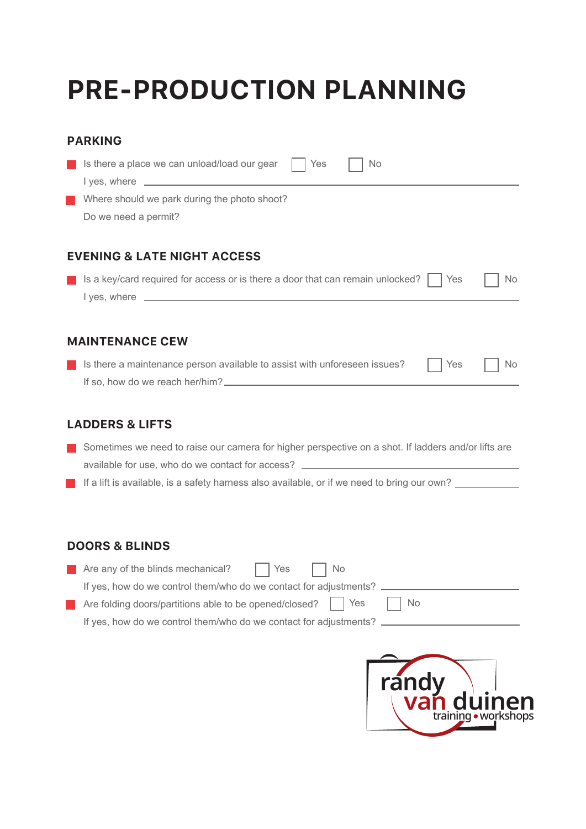# **PRE-PRODUCTION PLANNING**

| <b>PARKING</b>                                                                                      |
|-----------------------------------------------------------------------------------------------------|
| Is there a place we can unload/load our gear<br>Yes<br>No                                           |
| Where should we park during the photo shoot?                                                        |
| Do we need a permit?                                                                                |
| <b>EVENING &amp; LATE NIGHT ACCESS</b>                                                              |
| Is a key/card required for access or is there a door that can remain unlocked?<br>Yes<br><b>No</b>  |
|                                                                                                     |
| <b>MAINTENANCE CEW</b>                                                                              |
| Is there a maintenance person available to assist with unforeseen issues?<br>No.<br>Yes             |
|                                                                                                     |
| <b>LADDERS &amp; LIFTS</b>                                                                          |
| Sometimes we need to raise our camera for higher perspective on a shot. If ladders and/or lifts are |
| available for use, who do we contact for access?                                                    |

If a lift is available, is a safety harness also available, or if we need to bring our own?

### **DOORS & BLINDS**

| <b>Contract</b> | Are any of the blinds mechanical?<br>I Yes<br>l No                |
|-----------------|-------------------------------------------------------------------|
|                 | If yes, how do we control them/who do we contact for adjustments? |
|                 | l No                                                              |
|                 | If yes, how do we control them/who do we contact for adjustments? |
|                 |                                                                   |